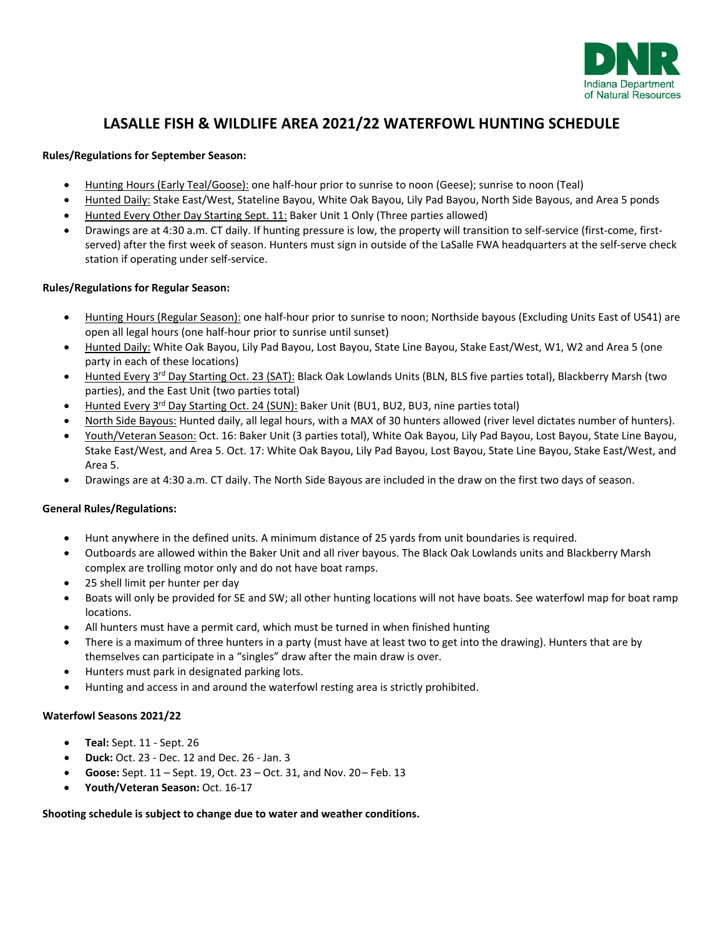

### **LASALLE FISH & WILDLIFE AREA 2021/22 WATERFOWL HUNTING SCHEDULE**

#### **Rules/Regulations for September Season:**

- Hunting Hours (Early Teal/Goose): one half-hour prior to sunrise to noon (Geese); sunrise to noon (Teal)
- Hunted Daily: Stake East/West, Stateline Bayou, White Oak Bayou, Lily Pad Bayou, North Side Bayous, and Area 5 ponds
- Hunted Every Other Day Starting Sept. 11: Baker Unit 1 Only (Three parties allowed)
- Drawings are at 4:30 a.m. CT daily. If hunting pressure is low, the property will transition to self-service (first-come, firstserved) after the first week of season. Hunters must sign in outside of the LaSalle FWA headquarters at the self-serve check station if operating under self-service.

#### **Rules/Regulations for Regular Season:**

- Hunting Hours (Regular Season): one half-hour prior to sunrise to noon; Northside bayous (Excluding Units East of US41) are open all legal hours (one half-hour prior to sunrise until sunset)
- Hunted Daily: White Oak Bayou, Lily Pad Bayou, Lost Bayou, State Line Bayou, Stake East/West, W1, W2 and Area 5 (one party in each of these locations)
- Hunted Every 3<sup>rd</sup> Day Starting Oct. 23 (SAT): Black Oak Lowlands Units (BLN, BLS five parties total), Blackberry Marsh (two parties), and the East Unit (two parties total)
- Hunted Every 3rd Day Starting Oct. 24 (SUN): Baker Unit (BU1, BU2, BU3, nine parties total)
- North Side Bayous: Hunted daily, all legal hours, with a MAX of 30 hunters allowed (river level dictates number of hunters).
- Youth/Veteran Season: Oct. 16: Baker Unit (3 parties total), White Oak Bayou, Lily Pad Bayou, Lost Bayou, State Line Bayou, Stake East/West, and Area 5. Oct. 17: White Oak Bayou, Lily Pad Bayou, Lost Bayou, State Line Bayou, Stake East/West, and Area 5.
- Drawings are at 4:30 a.m. CT daily. The North Side Bayous are included in the draw on the first two days of season.

#### **General Rules/Regulations:**

- Hunt anywhere in the defined units. A minimum distance of 25 yards from unit boundaries is required.
- Outboards are allowed within the Baker Unit and all river bayous. The Black Oak Lowlands units and Blackberry Marsh complex are trolling motor only and do not have boat ramps.
- 25 shell limit per hunter per day
- Boats will only be provided for SE and SW; all other hunting locations will not have boats. See waterfowl map for boat ramp locations.
- All hunters must have a permit card, which must be turned in when finished hunting
- There is a maximum of three hunters in a party (must have at least two to get into the drawing). Hunters that are by themselves can participate in a "singles" draw after the main draw is over.
- Hunters must park in designated parking lots.
- Hunting and access in and around the waterfowl resting area is strictly prohibited.

#### **Waterfowl Seasons 2021/22**

- **Teal:** Sept. 11 Sept. 26
- **Duck:** Oct. 23 Dec. 12 and Dec. 26 Jan. 3
- **Goose:** Sept. 11 Sept. 19, Oct. 23 Oct. 31, and Nov. 20– Feb. 13
- **Youth/Veteran Season:** Oct. 16-17

#### **Shooting schedule is subject to change due to water and weather conditions.**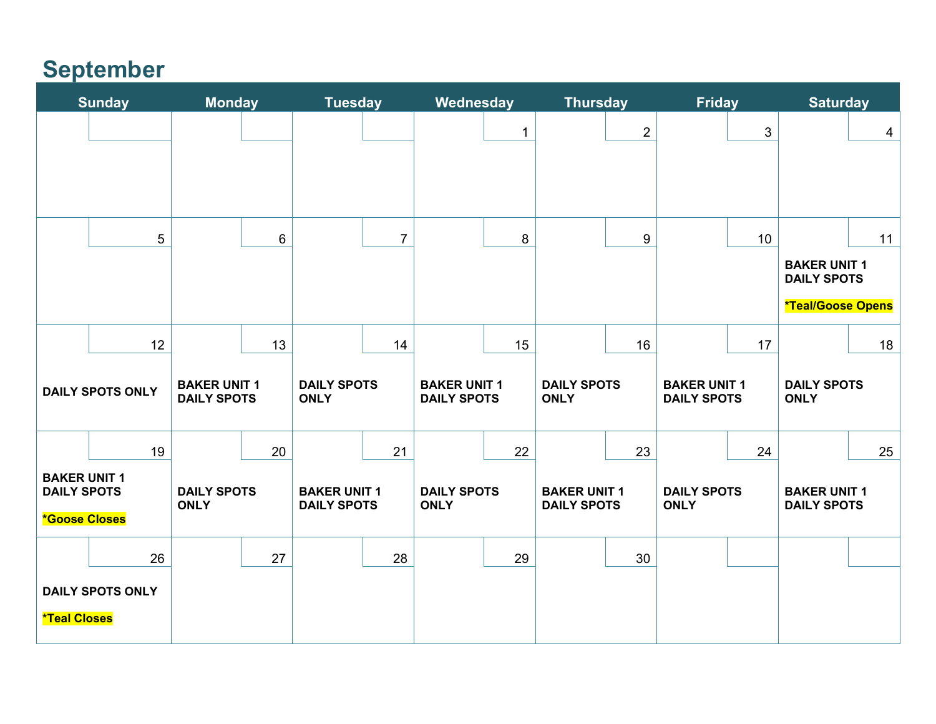# **September**

| <b>Sunday</b>                                                     |    | <b>Monday</b>                             |    | <b>Tuesday</b>                            |                | Wednesday                                 |              | <b>Thursday</b>                           |              | <b>Friday</b>                             |            | <b>Saturday</b>                           |                |
|-------------------------------------------------------------------|----|-------------------------------------------|----|-------------------------------------------|----------------|-------------------------------------------|--------------|-------------------------------------------|--------------|-------------------------------------------|------------|-------------------------------------------|----------------|
|                                                                   |    |                                           |    |                                           |                |                                           | $\mathbf{1}$ |                                           | $\mathbf{2}$ |                                           | $\sqrt{3}$ |                                           | $\overline{4}$ |
|                                                                   |    |                                           |    |                                           |                |                                           |              |                                           |              |                                           |            |                                           |                |
|                                                                   |    |                                           |    |                                           |                |                                           |              |                                           |              |                                           |            |                                           |                |
|                                                                   |    |                                           |    |                                           |                |                                           |              |                                           |              |                                           |            |                                           |                |
|                                                                   | 5  |                                           | 6  |                                           | $\overline{7}$ |                                           | 8            |                                           | $9\,$        |                                           | 10         |                                           | 11             |
|                                                                   |    |                                           |    |                                           |                |                                           |              |                                           |              |                                           |            | <b>BAKER UNIT 1</b><br><b>DAILY SPOTS</b> |                |
|                                                                   |    |                                           |    |                                           |                |                                           |              |                                           |              |                                           |            | *Teal/Goose Opens                         |                |
|                                                                   | 12 |                                           | 13 |                                           | 14             |                                           | 15           |                                           | 16           |                                           | 17         |                                           | 18             |
| <b>DAILY SPOTS ONLY</b>                                           |    | <b>BAKER UNIT 1</b><br><b>DAILY SPOTS</b> |    | <b>DAILY SPOTS</b><br><b>ONLY</b>         |                | <b>BAKER UNIT 1</b><br><b>DAILY SPOTS</b> |              | <b>DAILY SPOTS</b><br><b>ONLY</b>         |              | <b>BAKER UNIT 1</b><br><b>DAILY SPOTS</b> |            | <b>DAILY SPOTS</b><br><b>ONLY</b>         |                |
|                                                                   | 19 |                                           | 20 |                                           | 21             |                                           | 22           |                                           | 23           |                                           | 24         |                                           | 25             |
| <b>BAKER UNIT 1</b><br><b>DAILY SPOTS</b><br><b>*Goose Closes</b> |    | <b>DAILY SPOTS</b><br><b>ONLY</b>         |    | <b>BAKER UNIT 1</b><br><b>DAILY SPOTS</b> |                | <b>DAILY SPOTS</b><br><b>ONLY</b>         |              | <b>BAKER UNIT 1</b><br><b>DAILY SPOTS</b> |              | <b>DAILY SPOTS</b><br><b>ONLY</b>         |            | <b>BAKER UNIT 1</b><br><b>DAILY SPOTS</b> |                |
|                                                                   | 26 |                                           | 27 |                                           | 28             |                                           | 29           |                                           | 30           |                                           |            |                                           |                |
| <b>DAILY SPOTS ONLY</b><br><b>*Teal Closes</b>                    |    |                                           |    |                                           |                |                                           |              |                                           |              |                                           |            |                                           |                |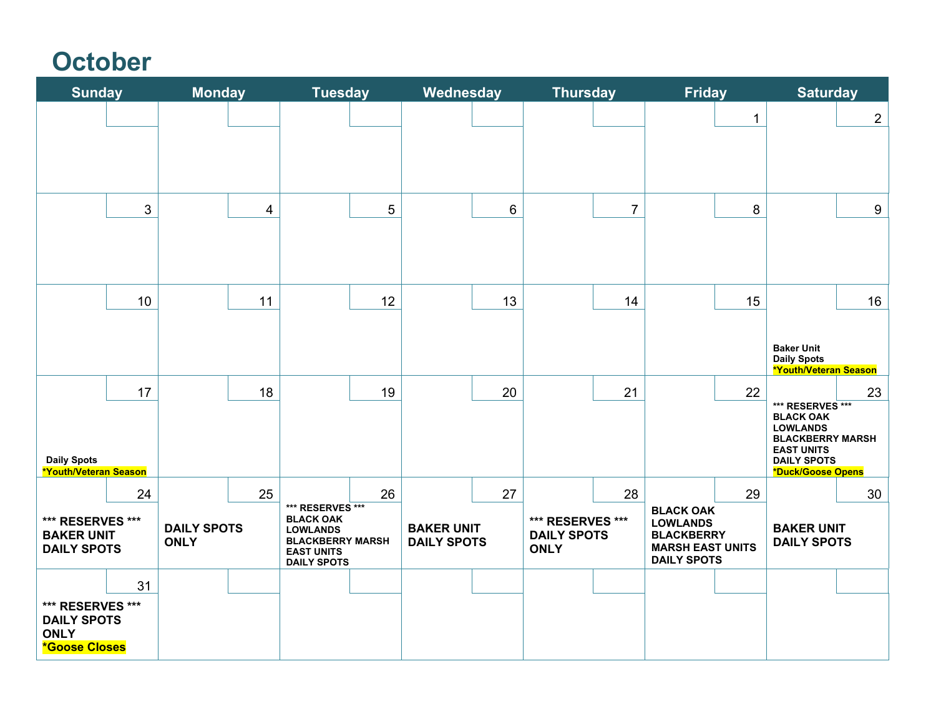# **October**

| <b>Sunday</b>                                                                 |            | <b>Monday</b>                     |    | <b>Tuesday</b>                                                                                                                |    | Wednesday                               |    | <b>Thursday</b>                                              |                | <b>Friday</b>                                                                                             |    | <b>Saturday</b>                                                |                |
|-------------------------------------------------------------------------------|------------|-----------------------------------|----|-------------------------------------------------------------------------------------------------------------------------------|----|-----------------------------------------|----|--------------------------------------------------------------|----------------|-----------------------------------------------------------------------------------------------------------|----|----------------------------------------------------------------|----------------|
|                                                                               |            |                                   |    |                                                                                                                               |    |                                         |    |                                                              |                |                                                                                                           | 1  |                                                                | $\overline{2}$ |
|                                                                               |            |                                   |    |                                                                                                                               |    |                                         |    |                                                              |                |                                                                                                           |    |                                                                |                |
|                                                                               |            |                                   |    |                                                                                                                               |    |                                         |    |                                                              |                |                                                                                                           |    |                                                                |                |
|                                                                               | $\sqrt{3}$ |                                   | 4  |                                                                                                                               | 5  |                                         | 6  |                                                              | $\overline{7}$ |                                                                                                           | 8  |                                                                | 9              |
|                                                                               |            |                                   |    |                                                                                                                               |    |                                         |    |                                                              |                |                                                                                                           |    |                                                                |                |
|                                                                               |            |                                   |    |                                                                                                                               |    |                                         |    |                                                              |                |                                                                                                           |    |                                                                |                |
|                                                                               | 10         |                                   | 11 |                                                                                                                               | 12 |                                         | 13 |                                                              | 14             |                                                                                                           | 15 |                                                                | 16             |
|                                                                               |            |                                   |    |                                                                                                                               |    |                                         |    |                                                              |                |                                                                                                           |    | <b>Baker Unit</b>                                              |                |
|                                                                               |            |                                   |    |                                                                                                                               |    |                                         |    |                                                              |                |                                                                                                           |    | <b>Daily Spots</b><br>*Youth/Veteran Season                    |                |
|                                                                               | 17         |                                   | 18 |                                                                                                                               | 19 |                                         | 20 |                                                              | 21             |                                                                                                           | 22 | *** RESERVES ***                                               | 23             |
|                                                                               |            |                                   |    |                                                                                                                               |    |                                         |    |                                                              |                |                                                                                                           |    | <b>BLACK OAK</b><br><b>LOWLANDS</b><br><b>BLACKBERRY MARSH</b> |                |
| <b>Daily Spots</b><br>*Youth/Veteran Season                                   |            |                                   |    |                                                                                                                               |    |                                         |    |                                                              |                |                                                                                                           |    | <b>EAST UNITS</b><br><b>DAILY SPOTS</b><br>*Duck/Goose Opens   |                |
|                                                                               | 24         |                                   | 25 |                                                                                                                               | 26 |                                         | 27 |                                                              | 28             |                                                                                                           | 29 |                                                                | 30             |
| *** RESERVES ***<br><b>BAKER UNIT</b><br><b>DAILY SPOTS</b>                   |            | <b>DAILY SPOTS</b><br><b>ONLY</b> |    | *** RESERVES ***<br><b>BLACK OAK</b><br><b>LOWLANDS</b><br><b>BLACKBERRY MARSH</b><br><b>EAST UNITS</b><br><b>DAILY SPOTS</b> |    | <b>BAKER UNIT</b><br><b>DAILY SPOTS</b> |    | <b>*** RESERVES ***</b><br><b>DAILY SPOTS</b><br><b>ONLY</b> |                | <b>BLACK OAK</b><br><b>LOWLANDS</b><br><b>BLACKBERRY</b><br><b>MARSH EAST UNITS</b><br><b>DAILY SPOTS</b> |    | <b>BAKER UNIT</b><br><b>DAILY SPOTS</b>                        |                |
|                                                                               | 31         |                                   |    |                                                                                                                               |    |                                         |    |                                                              |                |                                                                                                           |    |                                                                |                |
| *** RESERVES ***<br><b>DAILY SPOTS</b><br><b>ONLY</b><br><b>*Goose Closes</b> |            |                                   |    |                                                                                                                               |    |                                         |    |                                                              |                |                                                                                                           |    |                                                                |                |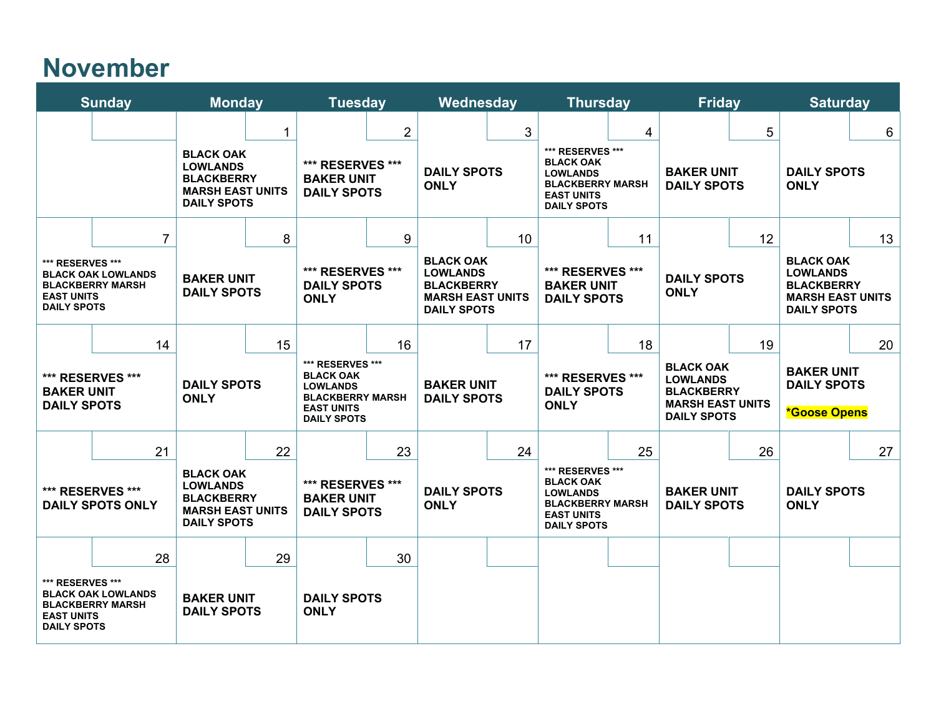## **November**

| <b>Sunday</b>                                                                                                                                                       |  | <b>Monday</b>                                                                                                   |                                                            | <b>Tuesday</b>                                                                                                                      |                                                                                                           | Wednesday                                     |                                                                   | <b>Thursday</b>                                                                                                                     |                                         | <b>Friday</b>                                                                                                   |                                                                                                                 | <b>Saturday</b>                                               |  |
|---------------------------------------------------------------------------------------------------------------------------------------------------------------------|--|-----------------------------------------------------------------------------------------------------------------|------------------------------------------------------------|-------------------------------------------------------------------------------------------------------------------------------------|-----------------------------------------------------------------------------------------------------------|-----------------------------------------------|-------------------------------------------------------------------|-------------------------------------------------------------------------------------------------------------------------------------|-----------------------------------------|-----------------------------------------------------------------------------------------------------------------|-----------------------------------------------------------------------------------------------------------------|---------------------------------------------------------------|--|
|                                                                                                                                                                     |  | 1<br><b>BLACK OAK</b><br><b>LOWLANDS</b><br><b>BLACKBERRY</b><br><b>MARSH EAST UNITS</b><br><b>DAILY SPOTS</b>  |                                                            | $\overline{2}$<br>*** RESERVES ***<br><b>BAKER UNIT</b><br><b>DAILY SPOTS</b>                                                       |                                                                                                           | 3<br><b>DAILY SPOTS</b><br><b>ONLY</b>        |                                                                   | 4<br>*** RESERVES ***<br><b>BLACK OAK</b><br><b>LOWLANDS</b><br><b>BLACKBERRY MARSH</b><br><b>EAST UNITS</b><br><b>DAILY SPOTS</b>  |                                         | 5<br><b>BAKER UNIT</b><br><b>DAILY SPOTS</b>                                                                    |                                                                                                                 | 6<br><b>DAILY SPOTS</b><br><b>ONLY</b>                        |  |
| 7<br>*** RESERVES ***<br><b>BLACK OAK LOWLANDS</b><br><b>BAKER UNIT</b><br><b>BLACKBERRY MARSH</b><br><b>DAILY SPOTS</b><br><b>EAST UNITS</b><br><b>DAILY SPOTS</b> |  | 8                                                                                                               | 9<br>*** RESERVES ***<br><b>DAILY SPOTS</b><br><b>ONLY</b> |                                                                                                                                     | <b>BLACK OAK</b><br><b>LOWLANDS</b><br><b>BLACKBERRY</b><br><b>MARSH EAST UNITS</b><br><b>DAILY SPOTS</b> | 10 <sup>°</sup>                               | 11<br>*** RESERVES ***<br><b>BAKER UNIT</b><br><b>DAILY SPOTS</b> |                                                                                                                                     | 12<br><b>DAILY SPOTS</b><br><b>ONLY</b> |                                                                                                                 | 13<br><b>BLACK OAK</b><br><b>LOWLANDS</b><br><b>BLACKBERRY</b><br><b>MARSH EAST UNITS</b><br><b>DAILY SPOTS</b> |                                                               |  |
| 14<br>*** RESERVES ***<br><b>BAKER UNIT</b><br><b>DAILY SPOTS</b>                                                                                                   |  | 15<br><b>DAILY SPOTS</b><br><b>ONLY</b>                                                                         |                                                            | 16<br>*** RESERVES ***<br><b>BLACK OAK</b><br><b>LOWLANDS</b><br><b>BLACKBERRY MARSH</b><br><b>EAST UNITS</b><br><b>DAILY SPOTS</b> |                                                                                                           | 17<br><b>BAKER UNIT</b><br><b>DAILY SPOTS</b> |                                                                   | 18<br>*** RESERVES ***<br><b>DAILY SPOTS</b><br><b>ONLY</b>                                                                         |                                         | 19<br><b>BLACK OAK</b><br><b>LOWLANDS</b><br><b>BLACKBERRY</b><br><b>MARSH EAST UNITS</b><br><b>DAILY SPOTS</b> |                                                                                                                 | 20<br><b>BAKER UNIT</b><br><b>DAILY SPOTS</b><br>*Goose Opens |  |
| 21<br>*** RESERVES ***<br><b>DAILY SPOTS ONLY</b>                                                                                                                   |  | 22<br><b>BLACK OAK</b><br><b>LOWLANDS</b><br><b>BLACKBERRY</b><br><b>MARSH EAST UNITS</b><br><b>DAILY SPOTS</b> |                                                            | 23<br>*** RESERVES ***<br><b>BAKER UNIT</b><br><b>DAILY SPOTS</b>                                                                   |                                                                                                           | 24<br><b>DAILY SPOTS</b><br><b>ONLY</b>       |                                                                   | 25<br>*** RESERVES ***<br><b>BLACK OAK</b><br><b>LOWLANDS</b><br><b>BLACKBERRY MARSH</b><br><b>EAST UNITS</b><br><b>DAILY SPOTS</b> |                                         | 26<br><b>BAKER UNIT</b><br><b>DAILY SPOTS</b>                                                                   |                                                                                                                 | 27<br><b>DAILY SPOTS</b><br><b>ONLY</b>                       |  |
| 28<br>*** RESERVES ***<br><b>BLACK OAK LOWLANDS</b><br><b>BLACKBERRY MARSH</b><br><b>EAST UNITS</b><br><b>DAILY SPOTS</b>                                           |  | <b>BAKER UNIT</b><br><b>DAILY SPOTS</b>                                                                         | 29                                                         | <b>DAILY SPOTS</b><br><b>ONLY</b>                                                                                                   | 30                                                                                                        |                                               |                                                                   |                                                                                                                                     |                                         |                                                                                                                 |                                                                                                                 |                                                               |  |